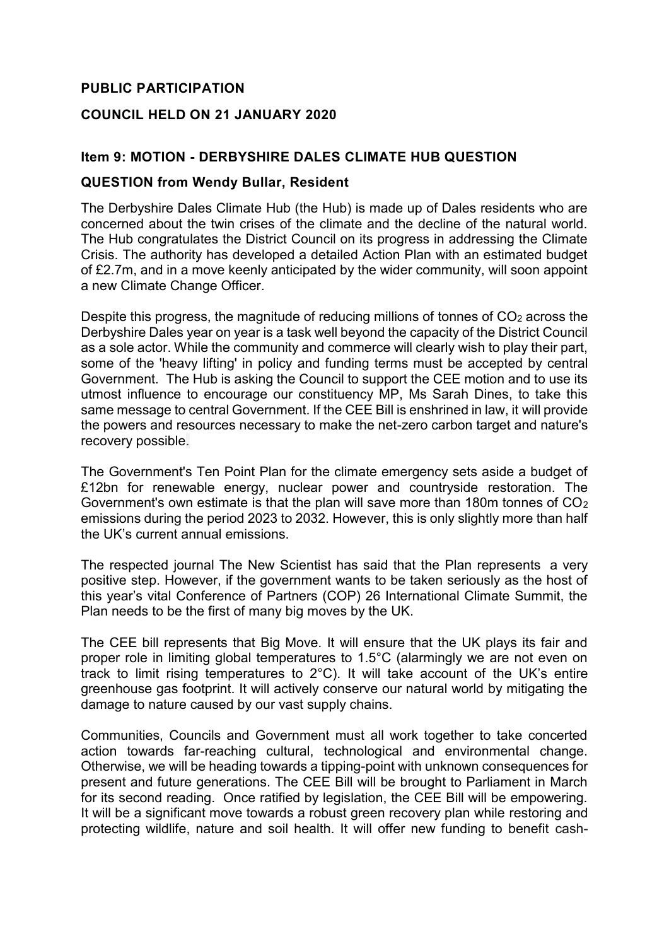# **PUBLIC PARTICIPATION**

### **COUNCIL HELD ON 21 JANUARY 2020**

### **Item 9: MOTION - DERBYSHIRE DALES CLIMATE HUB QUESTION**

#### **QUESTION from Wendy Bullar, Resident**

The Derbyshire Dales Climate Hub (the Hub) is made up of Dales residents who are concerned about the twin crises of the climate and the decline of the natural world. The Hub congratulates the District Council on its progress in addressing the Climate Crisis. The authority has developed a detailed Action Plan with an estimated budget of £2.7m, and in a move keenly anticipated by the wider community, will soon appoint a new Climate Change Officer.

Despite this progress, the magnitude of reducing millions of tonnes of  $CO<sub>2</sub>$  across the Derbyshire Dales year on year is a task well beyond the capacity of the District Council as a sole actor. While the community and commerce will clearly wish to play their part, some of the 'heavy lifting' in policy and funding terms must be accepted by central Government. The Hub is asking the Council to support the CEE motion and to use its utmost influence to encourage our constituency MP, Ms Sarah Dines, to take this same message to central Government. If the CEE Bill is enshrined in law, it will provide the powers and resources necessary to make the net-zero carbon target and nature's recovery possible.

The Government's Ten Point Plan for the climate emergency sets aside a budget of £12bn for renewable energy, nuclear power and countryside restoration. The Government's own estimate is that the plan will save more than 180m tonnes of CO<sup>2</sup> emissions during the period 2023 to 2032. However, this is only slightly more than half the UK's current annual emissions.

The respected journal The New Scientist has said that the Plan represents a very positive step. However, if the government wants to be taken seriously as the host of this year's vital Conference of Partners (COP) 26 International Climate Summit, the Plan needs to be the first of many big moves by the UK.

The CEE bill represents that Big Move. It will ensure that the UK plays its fair and proper role in limiting global temperatures to 1.5°C (alarmingly we are not even on track to limit rising temperatures to 2°C). It will take account of the UK's entire greenhouse gas footprint. It will actively conserve our natural world by mitigating the damage to nature caused by our vast supply chains.

Communities, Councils and Government must all work together to take concerted action towards far-reaching cultural, technological and environmental change. Otherwise, we will be heading towards a tipping-point with unknown consequences for present and future generations. The CEE Bill will be brought to Parliament in March for its second reading. Once ratified by legislation, the CEE Bill will be empowering. It will be a significant move towards a robust green recovery plan while restoring and protecting wildlife, nature and soil health. It will offer new funding to benefit cash